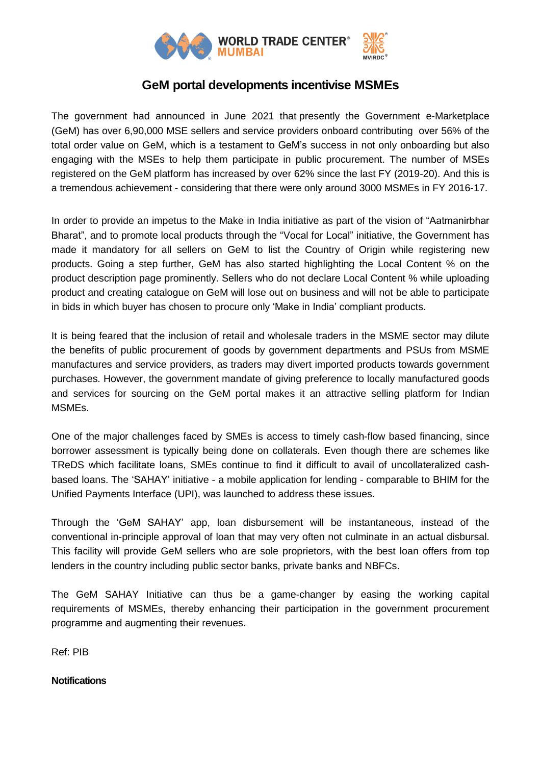

## **GeM portal developments incentivise MSMEs**

The government had announced in June 2021 that presently the Government e-Marketplace (GeM) has over 6,90,000 MSE sellers and service providers onboard contributing over 56% of the total order value on GeM, which is a testament to GeM's success in not only onboarding but also engaging with the MSEs to help them participate in public procurement. The number of MSEs registered on the GeM platform has increased by over 62% since the last FY (2019-20). And this is a tremendous achievement - considering that there were only around 3000 MSMEs in FY 2016-17.

In order to provide an impetus to the Make in India initiative as part of the vision of "Aatmanirbhar Bharat", and to promote local products through the "Vocal for Local" initiative, the Government has made it mandatory for all sellers on GeM to list the Country of Origin while registering new products. Going a step further, GeM has also started highlighting the Local Content % on the product description page prominently. Sellers who do not declare Local Content % while uploading product and creating catalogue on GeM will lose out on business and will not be able to participate in bids in which buyer has chosen to procure only 'Make in India' compliant products.

It is being feared that the inclusion of retail and wholesale traders in the MSME sector may dilute the benefits of public procurement of goods by government departments and PSUs from MSME manufactures and service providers, as traders may divert imported products towards government purchases. However, the government mandate of giving preference to locally manufactured goods and services for sourcing on the GeM portal makes it an attractive selling platform for Indian MSMEs.

One of the major challenges faced by SMEs is access to timely cash-flow based financing, since borrower assessment is typically being done on collaterals. Even though there are schemes like TReDS which facilitate loans, SMEs continue to find it difficult to avail of uncollateralized cashbased loans. The 'SAHAY' initiative - a mobile application for lending - comparable to BHIM for the Unified Payments Interface (UPI), was launched to address these issues.

Through the 'GeM SAHAY' app, loan disbursement will be instantaneous, instead of the conventional in-principle approval of loan that may very often not culminate in an actual disbursal. This facility will provide GeM sellers who are sole proprietors, with the best loan offers from top lenders in the country including public sector banks, private banks and NBFCs.

The GeM SAHAY Initiative can thus be a game-changer by easing the working capital requirements of MSMEs, thereby enhancing their participation in the government procurement programme and augmenting their revenues.

Ref: PIB

**Notifications**